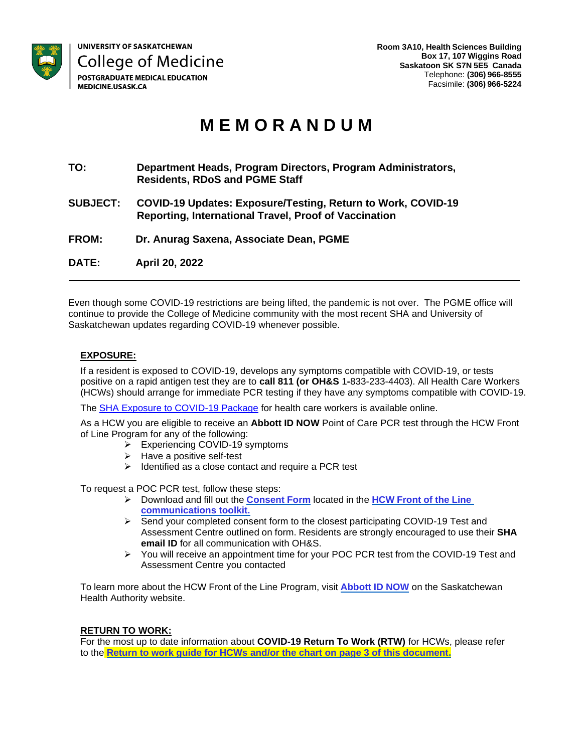

# **M E M O R A N D U M**

- **TO: Department Heads, Program Directors, Program Administrators, Residents, RDoS and PGME Staff**
- **SUBJECT: COVID-19 Updates: Exposure/Testing, Return to Work, COVID-19 Reporting, International Travel, Proof of Vaccination**
- **FROM: Dr. Anurag Saxena, Associate Dean, PGME**

**DATE: April 20, 2022**

Even though some COVID-19 restrictions are being lifted, the pandemic is not over. The PGME office will continue to provide the College of Medicine community with the most recent SHA and University of Saskatchewan updates regarding COVID-19 whenever possible.

#### **EXPOSURE:**

If a resident is exposed to COVID-19, develops any symptoms compatible with COVID-19, or tests positive on a rapid antigen test they are to **call 811 (or OH&S** 1**-**833-233-4403). All Health Care Workers (HCWs) should arrange for immediate PCR testing if they have any symptoms compatible with COVID-19.

The [SHA Exposure to COVID-19 Package](https://www.saskhealthauthority.ca/intranet/about-sha/news/covid-19-information-health-care-providers/general-information-all-health-care-providers/exposure-to-covid-19-package) for health care workers is available online.

As a HCW you are eligible to receive an **Abbott ID NOW** Point of Care PCR test through the HCW Front of Line Program for any of the following:

- ➢ Experiencing COVID-19 symptoms
- ➢ Have a positive self-test
- ➢ Identified as a close contact and require a PCR test

To request a POC PCR test, follow these steps:

- ➢ Download and fill out the **[Consent](https://www.saskhealthauthority.ca/system/files/2021-10/T2P-AbbottIDNow-ConsentForm-FINAL.pdf) Form** located in the **HCW [Front](https://www.saskhealthauthority.ca/intranet/about-sha/news/covid-19-information-health-care-providers/testing-screening-treatment-and-medical-directives/testing/abbott-id-now) of the Lin[e](https://www.saskhealthauthority.ca/intranet/about-sha/news/covid-19-information-health-care-providers/testing-screening-treatment-and-medical-directives/testing/abbott-id-now) [communications toolkit.](https://www.saskhealthauthority.ca/intranet/about-sha/news/covid-19-information-health-care-providers/testing-screening-treatment-and-medical-directives/testing/abbott-id-now)**
- ➢ Send your completed consent form to the closest participating COVID-19 Test and Assessment Centre outlined on form. Residents are strongly encouraged to use their **SHA email ID** for all communication with OH&S.
- $\triangleright$  You will receive an appointment time for your POC PCR test from the COVID-19 Test and Assessment Centre you contacted

To learn more about the HCW Front of the Line Program, visit **Abbott [ID NOW](https://www.saskhealthauthority.ca/intranet/about-sha/news/covid-19-information-health-care-providers/testing-screening-treatment-and-medical-directives/testing/abbott-id-now)** on the Saskatchewan Health Authority website.

#### **RETURN TO WORK:**

For the most up to date information about **COVID-19 Return To Work (RTW)** for HCWs, please refer to the **[Return to work guide for HCWs](https://www.saskhealthauthority.ca/system/files/2022-03/COVID-19-Return-to-Work-Guide-QS-for-Health-Care-Workers.pdf) and/or the chart on page 3 of this document.**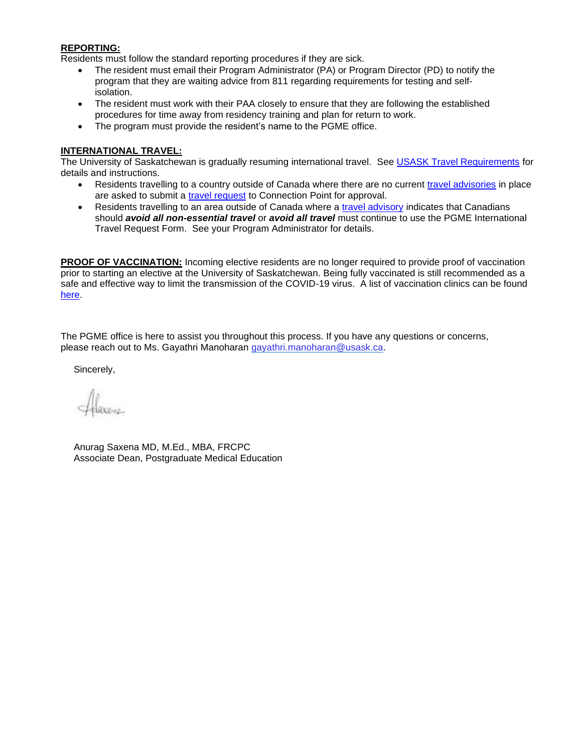#### **REPORTING:**

Residents must follow the standard reporting procedures if they are sick.

- The resident must email their Program Administrator (PA) or Program Director (PD) to notify the program that they are waiting advice from 811 regarding requirements for testing and selfisolation.
- The resident must work with their PAA closely to ensure that they are following the established procedures for time away from residency training and plan for return to work.
- The program must provide the resident's name to the PGME office.

### **INTERNATIONAL TRAVEL:**

The University of Saskatchewan is gradually resuming international travel. See [USASK Travel Requirements](https://covid19.usask.ca/info/travellers.php#Internationaltravel) for details and instructions.

- Residents travelling to a country outside of Canada where there are no current [travel advisories](https://travel.gc.ca/travelling/advisories) in place are asked to submit a [travel request](https://jira.usask.ca/servicedesk/customer/portal/1/create/378) to Connection Point for approval.
- Residents travelling to an area outside of Canada where a [travel advisory](https://travel.gc.ca/travelling/advisories) indicates that Canadians should *avoid all non-essential travel* or *avoid all travel* must continue to use the PGME International Travel Request Form. See your Program Administrator for details.

**PROOF OF VACCINATION:** Incoming elective residents are no longer required to provide proof of vaccination prior to starting an elective at the University of Saskatchewan. Being fully vaccinated is still recommended as a safe and effective way to limit the transmission of the COVID-19 virus. A list of vaccination clinics can be found [here.](https://www.saskhealthauthority.ca/your-health/conditions-diseases-services/covid-19-saskatchewan)

The PGME office is here to assist you throughout this process. If you have any questions or concerns, please reach out to Ms. Gayathri Manoharan [gayathri.manoharan@usask.ca.](mailto:gayathri.manoharan@usask.ca)

Sincerely,

Anurag Saxena MD, M.Ed., MBA, FRCPC Associate Dean, Postgraduate Medical Education